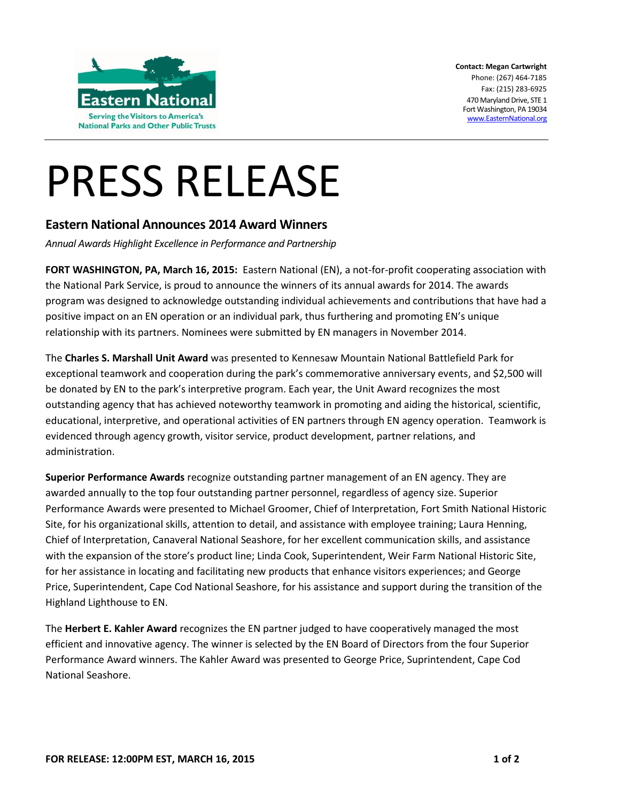

**Contact: Megan Cartwright** Phone: (267) 464-7185 Fax: (215) 283-6925 470 Maryland Drive, STE 1 Fort Washington, PA 19034 [www.EasternNational.org](http://www.easternnational.org/)

## PRESS RELEASE

## **Eastern National Announces 2014 Award Winners**

*Annual Awards Highlight Excellence in Performance and Partnership*

**FORT WASHINGTON, PA, March 16, 2015:** Eastern National (EN), a not-for-profit cooperating association with the National Park Service, is proud to announce the winners of its annual awards for 2014. The awards program was designed to acknowledge outstanding individual achievements and contributions that have had a positive impact on an EN operation or an individual park, thus furthering and promoting EN's unique relationship with its partners. Nominees were submitted by EN managers in November 2014.

The **Charles S. Marshall Unit Award** was presented to Kennesaw Mountain National Battlefield Park for exceptional teamwork and cooperation during the park's commemorative anniversary events, and \$2,500 will be donated by EN to the park's interpretive program. Each year, the Unit Award recognizes the most outstanding agency that has achieved noteworthy teamwork in promoting and aiding the historical, scientific, educational, interpretive, and operational activities of EN partners through EN agency operation. Teamwork is evidenced through agency growth, visitor service, product development, partner relations, and administration.

**Superior Performance Awards** recognize outstanding partner management of an EN agency. They are awarded annually to the top four outstanding partner personnel, regardless of agency size. Superior Performance Awards were presented to Michael Groomer, Chief of Interpretation, Fort Smith National Historic Site, for his organizational skills, attention to detail, and assistance with employee training; Laura Henning, Chief of Interpretation, Canaveral National Seashore, for her excellent communication skills, and assistance with the expansion of the store's product line; Linda Cook, Superintendent, Weir Farm National Historic Site, for her assistance in locating and facilitating new products that enhance visitors experiences; and George Price, Superintendent, Cape Cod National Seashore, for his assistance and support during the transition of the Highland Lighthouse to EN.

The **Herbert E. Kahler Award** recognizes the EN partner judged to have cooperatively managed the most efficient and innovative agency. The winner is selected by the EN Board of Directors from the four Superior Performance Award winners. The Kahler Award was presented to George Price, Suprintendent, Cape Cod National Seashore.